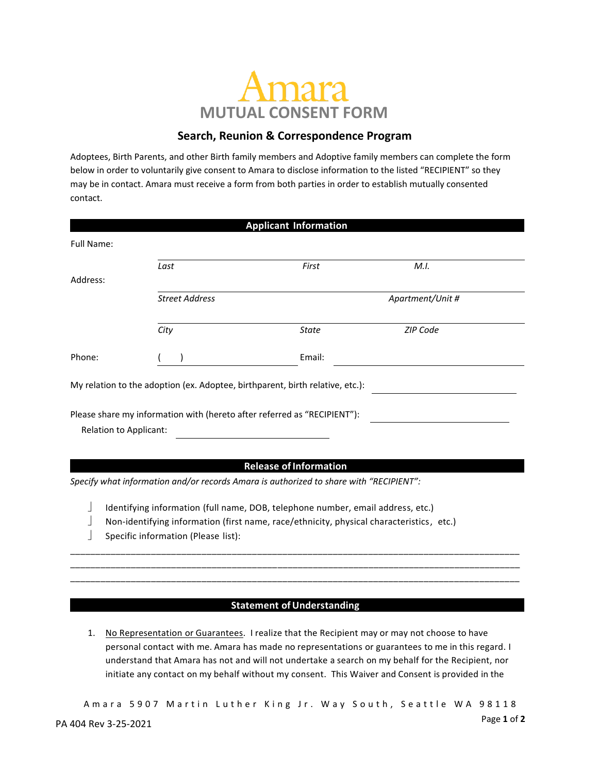# **MUTUAL CONSENT FORM**

## **Search, Reunion & Correspondence Program**

Adoptees, Birth Parents, and other Birth family members and Adoptive family members can complete the form below in order to voluntarily give consent to Amara to disclose information to the listed "RECIPIENT" so they may be in contact. Amara must receive a form from both parties in order to establish mutually consented contact.

|                        |                                                                          | <b>Applicant Information</b>                                                           |                  |  |
|------------------------|--------------------------------------------------------------------------|----------------------------------------------------------------------------------------|------------------|--|
| Full Name:             |                                                                          |                                                                                        |                  |  |
|                        | Last                                                                     | First                                                                                  | M.I.             |  |
| Address:               |                                                                          |                                                                                        |                  |  |
|                        | <b>Street Address</b>                                                    |                                                                                        | Apartment/Unit # |  |
|                        | City                                                                     | <b>State</b>                                                                           | ZIP Code         |  |
| Phone:                 |                                                                          | Email:                                                                                 |                  |  |
|                        |                                                                          | My relation to the adoption (ex. Adoptee, birthparent, birth relative, etc.):          |                  |  |
| Relation to Applicant: | Please share my information with (hereto after referred as "RECIPIENT"): |                                                                                        |                  |  |
|                        |                                                                          | <b>Release of Information</b>                                                          |                  |  |
|                        |                                                                          |                                                                                        |                  |  |
|                        |                                                                          | Specify what information and/or records Amara is authorized to share with "RECIPIENT": |                  |  |
|                        |                                                                          |                                                                                        |                  |  |

- Identifying information (full name, DOB, telephone number, email address, etc.)
- Non-identifying information (first name, race/ethnicity, physical characteristics, etc.)
- $\Box$  Specific information (Please list):

### **Statement of Understanding**

\_\_\_\_\_\_\_\_\_\_\_\_\_\_\_\_\_\_\_\_\_\_\_\_\_\_\_\_\_\_\_\_\_\_\_\_\_\_\_\_\_\_\_\_\_\_\_\_\_\_\_\_\_\_\_\_\_\_\_\_\_\_\_\_\_\_\_\_\_\_\_\_\_\_\_\_\_\_\_\_\_\_\_\_\_\_\_\_\_ \_\_\_\_\_\_\_\_\_\_\_\_\_\_\_\_\_\_\_\_\_\_\_\_\_\_\_\_\_\_\_\_\_\_\_\_\_\_\_\_\_\_\_\_\_\_\_\_\_\_\_\_\_\_\_\_\_\_\_\_\_\_\_\_\_\_\_\_\_\_\_\_\_\_\_\_\_\_\_\_\_\_\_\_\_\_\_\_\_ \_\_\_\_\_\_\_\_\_\_\_\_\_\_\_\_\_\_\_\_\_\_\_\_\_\_\_\_\_\_\_\_\_\_\_\_\_\_\_\_\_\_\_\_\_\_\_\_\_\_\_\_\_\_\_\_\_\_\_\_\_\_\_\_\_\_\_\_\_\_\_\_\_\_\_\_\_\_\_\_\_\_\_\_\_\_\_\_\_

1. No Representation or Guarantees. I realize that the Recipient may or may not choose to have personal contact with me. Amara has made no representations or guarantees to me in this regard. I understand that Amara has not and will not undertake a search on my behalf for the Recipient, nor initiate any contact on my behalf without my consent. This Waiver and Consent is provided in the

Page **1** of **2** A m a r a 5 9 0 7 M a rtin Luther King Jr. Way South, Seattle WA 98118